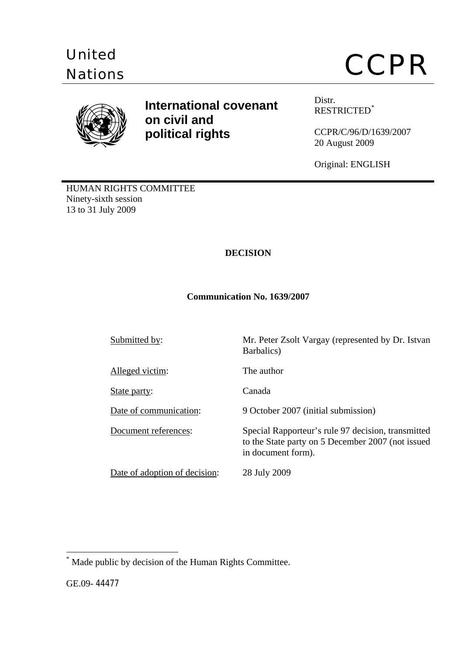



# **International covenant Distr. on civil and political rights**

RESTRICTED[\\*](#page-0-0)

CCPR/C/96/D/1639/2007 20 August 2009

Original: ENGLISH

HUMAN RIGHTS COMMITTEE Ninety-sixth session 13 to 31 July 2009

# **DECISION**

# **Communication No. 1639/2007**

Submitted by: Mr. Peter Zsolt Vargay (represented by Dr. Istvan Barbalics) Alleged victim: The author State party: Canada Date of communication: 9 October 2007 (initial submission) Document references: Special Rapporteur's rule 97 decision, transmitted to the State party on 5 December 2007 (not issued in document form). Date of adoption of decision: 28 July 2009

 $\overline{a}$ 

<span id="page-0-0"></span><sup>\*</sup> Made public by decision of the Human Rights Committee.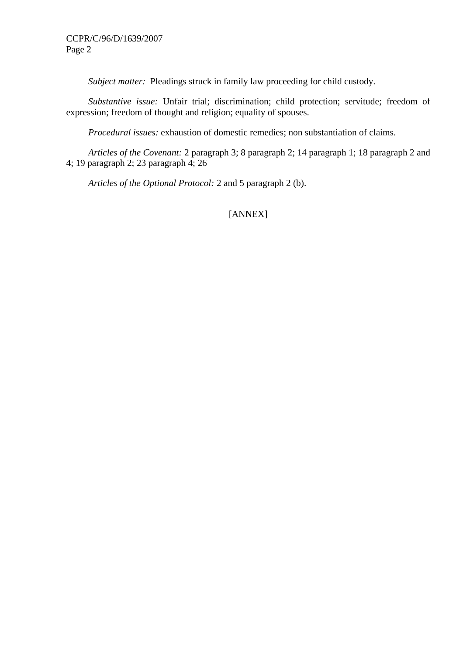*Subject matter:* Pleadings struck in family law proceeding for child custody.

 *Substantive issue:* Unfair trial; discrimination; child protection; servitude; freedom of expression; freedom of thought and religion; equality of spouses.

 *Procedural issues:* exhaustion of domestic remedies; non substantiation of claims.

 *Articles of the Covenant:* 2 paragraph 3; 8 paragraph 2; 14 paragraph 1; 18 paragraph 2 and 4; 19 paragraph 2; 23 paragraph 4; 26

 *Articles of the Optional Protocol:* 2 and 5 paragraph 2 (b).

# [ANNEX]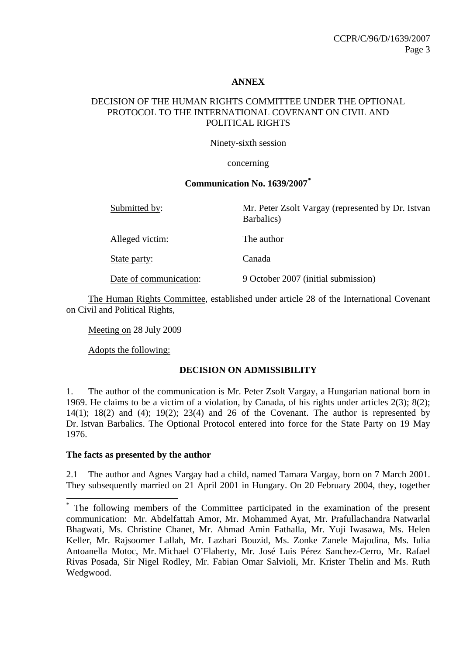#### **ANNEX**

## DECISION OF THE HUMAN RIGHTS COMMITTEE UNDER THE OPTIONAL PROTOCOL TO THE INTERNATIONAL COVENANT ON CIVIL AND POLITICAL RIGHTS

Ninety-sixth session

#### concerning

#### **Communication No. 1639/2007[\\*](#page-2-0)**

| Submitted by:          | Mr. Peter Zsolt Vargay (represented by Dr. Istvan<br>Barbalics) |
|------------------------|-----------------------------------------------------------------|
| Alleged victim:        | The author                                                      |
| State party:           | Canada                                                          |
| Date of communication: | 9 October 2007 (initial submission)                             |

The Human Rights Committee, established under article 28 of the International Covenant on Civil and Political Rights,

Meeting on 28 July 2009

Adopts the following:

#### **DECISION ON ADMISSIBILITY**

1. The author of the communication is Mr. Peter Zsolt Vargay, a Hungarian national born in 1969. He claims to be a victim of a violation, by Canada, of his rights under articles 2(3); 8(2);  $14(1)$ ;  $18(2)$  and  $(4)$ ;  $19(2)$ ;  $23(4)$  and  $26$  of the Covenant. The author is represented by Dr. Istvan Barbalics. The Optional Protocol entered into force for the State Party on 19 May 1976.

#### **The facts as presented by the author**

 $\overline{a}$ 

2.1 The author and Agnes Vargay had a child, named Tamara Vargay, born on 7 March 2001. They subsequently married on 21 April 2001 in Hungary. On 20 February 2004, they, together

<span id="page-2-0"></span><sup>\*</sup> The following members of the Committee participated in the examination of the present communication: Mr. Abdelfattah Amor, Mr. Mohammed Ayat, Mr. Prafullachandra Natwarlal Bhagwati, Ms. Christine Chanet, Mr. Ahmad Amin Fathalla, Mr. Yuji Iwasawa, Ms. Helen Keller, Mr. Rajsoomer Lallah, Mr. Lazhari Bouzid, Ms. Zonke Zanele Majodina, Ms. Iulia Antoanella Motoc, Mr. Michael O'Flaherty, Mr. José Luis Pérez Sanchez-Cerro, Mr. Rafael Rivas Posada, Sir Nigel Rodley, Mr. Fabian Omar Salvioli, Mr. Krister Thelin and Ms. Ruth Wedgwood.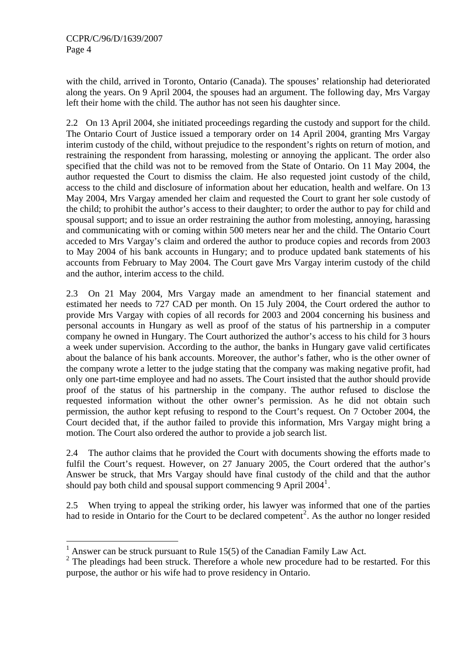$\overline{a}$ 

with the child, arrived in Toronto, Ontario (Canada). The spouses' relationship had deteriorated along the years. On 9 April 2004, the spouses had an argument. The following day, Mrs Vargay left their home with the child. The author has not seen his daughter since.

2.2 On 13 April 2004, she initiated proceedings regarding the custody and support for the child. The Ontario Court of Justice issued a temporary order on 14 April 2004, granting Mrs Vargay interim custody of the child, without prejudice to the respondent's rights on return of motion, and restraining the respondent from harassing, molesting or annoying the applicant. The order also specified that the child was not to be removed from the State of Ontario. On 11 May 2004, the author requested the Court to dismiss the claim. He also requested joint custody of the child, access to the child and disclosure of information about her education, health and welfare. On 13 May 2004, Mrs Vargay amended her claim and requested the Court to grant her sole custody of the child; to prohibit the author's access to their daughter; to order the author to pay for child and spousal support; and to issue an order restraining the author from molesting, annoying, harassing and communicating with or coming within 500 meters near her and the child. The Ontario Court acceded to Mrs Vargay's claim and ordered the author to produce copies and records from 2003 to May 2004 of his bank accounts in Hungary; and to produce updated bank statements of his accounts from February to May 2004. The Court gave Mrs Vargay interim custody of the child and the author, interim access to the child.

2.3 On 21 May 2004, Mrs Vargay made an amendment to her financial statement and estimated her needs to 727 CAD per month. On 15 July 2004, the Court ordered the author to provide Mrs Vargay with copies of all records for 2003 and 2004 concerning his business and personal accounts in Hungary as well as proof of the status of his partnership in a computer company he owned in Hungary. The Court authorized the author's access to his child for 3 hours a week under supervision. According to the author, the banks in Hungary gave valid certificates about the balance of his bank accounts. Moreover, the author's father, who is the other owner of the company wrote a letter to the judge stating that the company was making negative profit, had only one part-time employee and had no assets. The Court insisted that the author should provide proof of the status of his partnership in the company. The author refused to disclose the requested information without the other owner's permission. As he did not obtain such permission, the author kept refusing to respond to the Court's request. On 7 October 2004, the Court decided that, if the author failed to provide this information, Mrs Vargay might bring a motion. The Court also ordered the author to provide a job search list.

2.4 The author claims that he provided the Court with documents showing the efforts made to fulfil the Court's request. However, on 27 January 2005, the Court ordered that the author's Answer be struck, that Mrs Vargay should have final custody of the child and that the author should pay both child and spousal support commencing 9 April  $2004<sup>1</sup>$  $2004<sup>1</sup>$  $2004<sup>1</sup>$ .

2.5 When trying to appeal the striking order, his lawyer was informed that one of the parties had to reside in Ontario for the Court to be declared competent<sup>[2](#page-3-1)</sup>. As the author no longer resided

<span id="page-3-0"></span><sup>&</sup>lt;sup>1</sup> Answer can be struck pursuant to Rule 15(5) of the Canadian Family Law Act.

<span id="page-3-1"></span> $2$  The pleadings had been struck. Therefore a whole new procedure had to be restarted. For this purpose, the author or his wife had to prove residency in Ontario.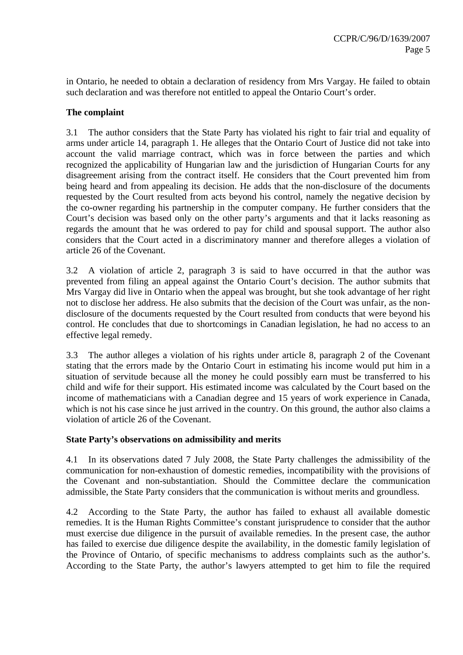in Ontario, he needed to obtain a declaration of residency from Mrs Vargay. He failed to obtain such declaration and was therefore not entitled to appeal the Ontario Court's order.

# **The complaint**

3.1 The author considers that the State Party has violated his right to fair trial and equality of arms under article 14, paragraph 1. He alleges that the Ontario Court of Justice did not take into account the valid marriage contract, which was in force between the parties and which recognized the applicability of Hungarian law and the jurisdiction of Hungarian Courts for any disagreement arising from the contract itself. He considers that the Court prevented him from being heard and from appealing its decision. He adds that the non-disclosure of the documents requested by the Court resulted from acts beyond his control, namely the negative decision by the co-owner regarding his partnership in the computer company. He further considers that the Court's decision was based only on the other party's arguments and that it lacks reasoning as regards the amount that he was ordered to pay for child and spousal support. The author also considers that the Court acted in a discriminatory manner and therefore alleges a violation of article 26 of the Covenant.

3.2 A violation of article 2, paragraph 3 is said to have occurred in that the author was prevented from filing an appeal against the Ontario Court's decision. The author submits that Mrs Vargay did live in Ontario when the appeal was brought, but she took advantage of her right not to disclose her address. He also submits that the decision of the Court was unfair, as the nondisclosure of the documents requested by the Court resulted from conducts that were beyond his control. He concludes that due to shortcomings in Canadian legislation, he had no access to an effective legal remedy.

3.3 The author alleges a violation of his rights under article 8, paragraph 2 of the Covenant stating that the errors made by the Ontario Court in estimating his income would put him in a situation of servitude because all the money he could possibly earn must be transferred to his child and wife for their support. His estimated income was calculated by the Court based on the income of mathematicians with a Canadian degree and 15 years of work experience in Canada, which is not his case since he just arrived in the country. On this ground, the author also claims a violation of article 26 of the Covenant.

#### **State Party's observations on admissibility and merits**

4.1 In its observations dated 7 July 2008, the State Party challenges the admissibility of the communication for non-exhaustion of domestic remedies, incompatibility with the provisions of the Covenant and non-substantiation. Should the Committee declare the communication admissible, the State Party considers that the communication is without merits and groundless.

4.2 According to the State Party, the author has failed to exhaust all available domestic remedies. It is the Human Rights Committee's constant jurisprudence to consider that the author must exercise due diligence in the pursuit of available remedies. In the present case, the author has failed to exercise due diligence despite the availability, in the domestic family legislation of the Province of Ontario, of specific mechanisms to address complaints such as the author's. According to the State Party, the author's lawyers attempted to get him to file the required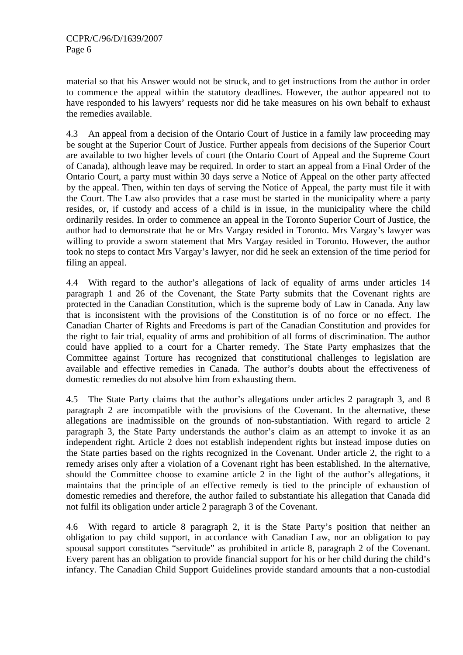material so that his Answer would not be struck, and to get instructions from the author in order to commence the appeal within the statutory deadlines. However, the author appeared not to have responded to his lawyers' requests nor did he take measures on his own behalf to exhaust the remedies available.

4.3 An appeal from a decision of the Ontario Court of Justice in a family law proceeding may be sought at the Superior Court of Justice. Further appeals from decisions of the Superior Court are available to two higher levels of court (the Ontario Court of Appeal and the Supreme Court of Canada), although leave may be required. In order to start an appeal from a Final Order of the Ontario Court, a party must within 30 days serve a Notice of Appeal on the other party affected by the appeal. Then, within ten days of serving the Notice of Appeal, the party must file it with the Court. The Law also provides that a case must be started in the municipality where a party resides, or, if custody and access of a child is in issue, in the municipality where the child ordinarily resides. In order to commence an appeal in the Toronto Superior Court of Justice, the author had to demonstrate that he or Mrs Vargay resided in Toronto. Mrs Vargay's lawyer was willing to provide a sworn statement that Mrs Vargay resided in Toronto. However, the author took no steps to contact Mrs Vargay's lawyer, nor did he seek an extension of the time period for filing an appeal.

4.4 With regard to the author's allegations of lack of equality of arms under articles 14 paragraph 1 and 26 of the Covenant, the State Party submits that the Covenant rights are protected in the Canadian Constitution, which is the supreme body of Law in Canada. Any law that is inconsistent with the provisions of the Constitution is of no force or no effect. The Canadian Charter of Rights and Freedoms is part of the Canadian Constitution and provides for the right to fair trial, equality of arms and prohibition of all forms of discrimination. The author could have applied to a court for a Charter remedy. The State Party emphasizes that the Committee against Torture has recognized that constitutional challenges to legislation are available and effective remedies in Canada. The author's doubts about the effectiveness of domestic remedies do not absolve him from exhausting them.

4.5 The State Party claims that the author's allegations under articles 2 paragraph 3, and 8 paragraph 2 are incompatible with the provisions of the Covenant. In the alternative, these allegations are inadmissible on the grounds of non-substantiation. With regard to article 2 paragraph 3, the State Party understands the author's claim as an attempt to invoke it as an independent right. Article 2 does not establish independent rights but instead impose duties on the State parties based on the rights recognized in the Covenant. Under article 2, the right to a remedy arises only after a violation of a Covenant right has been established. In the alternative, should the Committee choose to examine article 2 in the light of the author's allegations, it maintains that the principle of an effective remedy is tied to the principle of exhaustion of domestic remedies and therefore, the author failed to substantiate his allegation that Canada did not fulfil its obligation under article 2 paragraph 3 of the Covenant.

4.6 With regard to article 8 paragraph 2, it is the State Party's position that neither an obligation to pay child support, in accordance with Canadian Law, nor an obligation to pay spousal support constitutes "servitude" as prohibited in article 8, paragraph 2 of the Covenant. Every parent has an obligation to provide financial support for his or her child during the child's infancy. The Canadian Child Support Guidelines provide standard amounts that a non-custodial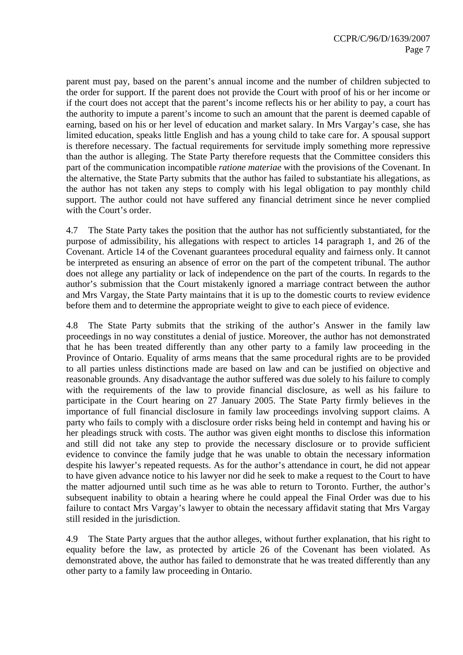parent must pay, based on the parent's annual income and the number of children subjected to the order for support. If the parent does not provide the Court with proof of his or her income or if the court does not accept that the parent's income reflects his or her ability to pay, a court has the authority to impute a parent's income to such an amount that the parent is deemed capable of earning, based on his or her level of education and market salary. In Mrs Vargay's case, she has limited education, speaks little English and has a young child to take care for. A spousal support is therefore necessary. The factual requirements for servitude imply something more repressive than the author is alleging. The State Party therefore requests that the Committee considers this part of the communication incompatible *ratione materiae* with the provisions of the Covenant. In the alternative, the State Party submits that the author has failed to substantiate his allegations, as the author has not taken any steps to comply with his legal obligation to pay monthly child support. The author could not have suffered any financial detriment since he never complied with the Court's order.

4.7 The State Party takes the position that the author has not sufficiently substantiated, for the purpose of admissibility, his allegations with respect to articles 14 paragraph 1, and 26 of the Covenant. Article 14 of the Covenant guarantees procedural equality and fairness only. It cannot be interpreted as ensuring an absence of error on the part of the competent tribunal. The author does not allege any partiality or lack of independence on the part of the courts. In regards to the author's submission that the Court mistakenly ignored a marriage contract between the author and Mrs Vargay, the State Party maintains that it is up to the domestic courts to review evidence before them and to determine the appropriate weight to give to each piece of evidence.

4.8 The State Party submits that the striking of the author's Answer in the family law proceedings in no way constitutes a denial of justice. Moreover, the author has not demonstrated that he has been treated differently than any other party to a family law proceeding in the Province of Ontario. Equality of arms means that the same procedural rights are to be provided to all parties unless distinctions made are based on law and can be justified on objective and reasonable grounds. Any disadvantage the author suffered was due solely to his failure to comply with the requirements of the law to provide financial disclosure, as well as his failure to participate in the Court hearing on 27 January 2005. The State Party firmly believes in the importance of full financial disclosure in family law proceedings involving support claims. A party who fails to comply with a disclosure order risks being held in contempt and having his or her pleadings struck with costs. The author was given eight months to disclose this information and still did not take any step to provide the necessary disclosure or to provide sufficient evidence to convince the family judge that he was unable to obtain the necessary information despite his lawyer's repeated requests. As for the author's attendance in court, he did not appear to have given advance notice to his lawyer nor did he seek to make a request to the Court to have the matter adjourned until such time as he was able to return to Toronto. Further, the author's subsequent inability to obtain a hearing where he could appeal the Final Order was due to his failure to contact Mrs Vargay's lawyer to obtain the necessary affidavit stating that Mrs Vargay still resided in the jurisdiction.

4.9 The State Party argues that the author alleges, without further explanation, that his right to equality before the law, as protected by article 26 of the Covenant has been violated. As demonstrated above, the author has failed to demonstrate that he was treated differently than any other party to a family law proceeding in Ontario.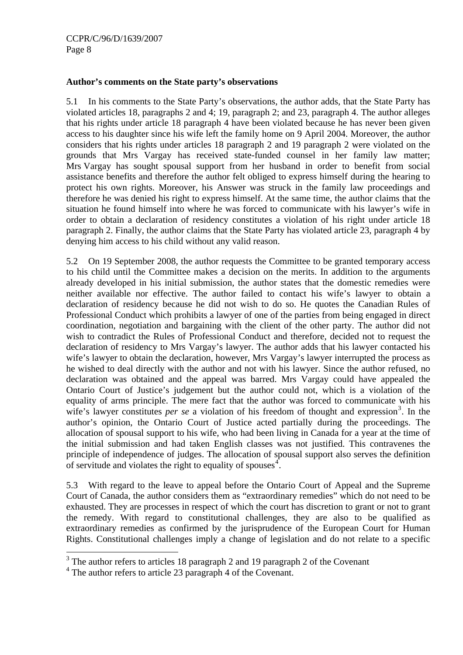## **Author's comments on the State party's observations**

5.1 In his comments to the State Party's observations, the author adds, that the State Party has violated articles 18, paragraphs 2 and 4; 19, paragraph 2; and 23, paragraph 4. The author alleges that his rights under article 18 paragraph 4 have been violated because he has never been given access to his daughter since his wife left the family home on 9 April 2004. Moreover, the author considers that his rights under articles 18 paragraph 2 and 19 paragraph 2 were violated on the grounds that Mrs Vargay has received state-funded counsel in her family law matter; Mrs Vargay has sought spousal support from her husband in order to benefit from social assistance benefits and therefore the author felt obliged to express himself during the hearing to protect his own rights. Moreover, his Answer was struck in the family law proceedings and therefore he was denied his right to express himself. At the same time, the author claims that the situation he found himself into where he was forced to communicate with his lawyer's wife in order to obtain a declaration of residency constitutes a violation of his right under article 18 paragraph 2. Finally, the author claims that the State Party has violated article 23, paragraph 4 by denying him access to his child without any valid reason.

5.2 On 19 September 2008, the author requests the Committee to be granted temporary access to his child until the Committee makes a decision on the merits. In addition to the arguments already developed in his initial submission, the author states that the domestic remedies were neither available nor effective. The author failed to contact his wife's lawyer to obtain a declaration of residency because he did not wish to do so. He quotes the Canadian Rules of Professional Conduct which prohibits a lawyer of one of the parties from being engaged in direct coordination, negotiation and bargaining with the client of the other party. The author did not wish to contradict the Rules of Professional Conduct and therefore, decided not to request the declaration of residency to Mrs Vargay's lawyer. The author adds that his lawyer contacted his wife's lawyer to obtain the declaration, however, Mrs Vargay's lawyer interrupted the process as he wished to deal directly with the author and not with his lawyer. Since the author refused, no declaration was obtained and the appeal was barred. Mrs Vargay could have appealed the Ontario Court of Justice's judgement but the author could not, which is a violation of the equality of arms principle. The mere fact that the author was forced to communicate with his wife's lawyer constitutes *per se* a violation of his freedom of thought and expression<sup>[3](#page-7-0)</sup>. In the author's opinion, the Ontario Court of Justice acted partially during the proceedings. The allocation of spousal support to his wife, who had been living in Canada for a year at the time of the initial submission and had taken English classes was not justified. This contravenes the principle of independence of judges. The allocation of spousal support also serves the definition of servitude and violates the right to equality of spouses $4$ .

5.3 With regard to the leave to appeal before the Ontario Court of Appeal and the Supreme Court of Canada, the author considers them as "extraordinary remedies" which do not need to be exhausted. They are processes in respect of which the court has discretion to grant or not to grant the remedy. With regard to constitutional challenges, they are also to be qualified as extraordinary remedies as confirmed by the jurisprudence of the European Court for Human Rights. Constitutional challenges imply a change of legislation and do not relate to a specific

<span id="page-7-0"></span><sup>&</sup>lt;sup>3</sup> The author refers to articles 18 paragraph 2 and 19 paragraph 2 of the Covenant

<span id="page-7-1"></span><sup>&</sup>lt;sup>4</sup> The author refers to article 23 paragraph 4 of the Covenant.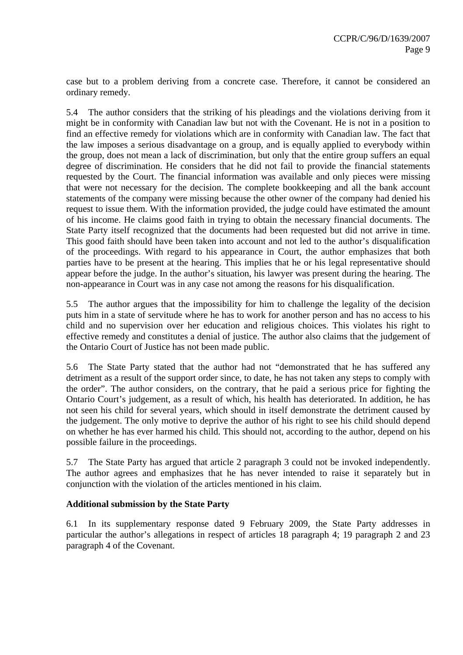case but to a problem deriving from a concrete case. Therefore, it cannot be considered an ordinary remedy.

5.4 The author considers that the striking of his pleadings and the violations deriving from it might be in conformity with Canadian law but not with the Covenant. He is not in a position to find an effective remedy for violations which are in conformity with Canadian law. The fact that the law imposes a serious disadvantage on a group, and is equally applied to everybody within the group, does not mean a lack of discrimination, but only that the entire group suffers an equal degree of discrimination. He considers that he did not fail to provide the financial statements requested by the Court. The financial information was available and only pieces were missing that were not necessary for the decision. The complete bookkeeping and all the bank account statements of the company were missing because the other owner of the company had denied his request to issue them. With the information provided, the judge could have estimated the amount of his income. He claims good faith in trying to obtain the necessary financial documents. The State Party itself recognized that the documents had been requested but did not arrive in time. This good faith should have been taken into account and not led to the author's disqualification of the proceedings. With regard to his appearance in Court, the author emphasizes that both parties have to be present at the hearing. This implies that he or his legal representative should appear before the judge. In the author's situation, his lawyer was present during the hearing. The non-appearance in Court was in any case not among the reasons for his disqualification.

5.5 The author argues that the impossibility for him to challenge the legality of the decision puts him in a state of servitude where he has to work for another person and has no access to his child and no supervision over her education and religious choices. This violates his right to effective remedy and constitutes a denial of justice. The author also claims that the judgement of the Ontario Court of Justice has not been made public.

5.6 The State Party stated that the author had not "demonstrated that he has suffered any detriment as a result of the support order since, to date, he has not taken any steps to comply with the order". The author considers, on the contrary, that he paid a serious price for fighting the Ontario Court's judgement, as a result of which, his health has deteriorated. In addition, he has not seen his child for several years, which should in itself demonstrate the detriment caused by the judgement. The only motive to deprive the author of his right to see his child should depend on whether he has ever harmed his child. This should not, according to the author, depend on his possible failure in the proceedings.

5.7 The State Party has argued that article 2 paragraph 3 could not be invoked independently. The author agrees and emphasizes that he has never intended to raise it separately but in conjunction with the violation of the articles mentioned in his claim.

#### **Additional submission by the State Party**

6.1 In its supplementary response dated 9 February 2009, the State Party addresses in particular the author's allegations in respect of articles 18 paragraph 4; 19 paragraph 2 and 23 paragraph 4 of the Covenant.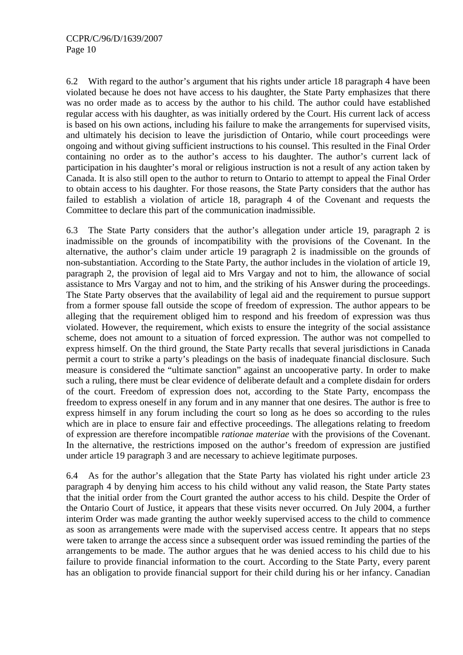6.2 With regard to the author's argument that his rights under article 18 paragraph 4 have been violated because he does not have access to his daughter, the State Party emphasizes that there was no order made as to access by the author to his child. The author could have established regular access with his daughter, as was initially ordered by the Court. His current lack of access is based on his own actions, including his failure to make the arrangements for supervised visits, and ultimately his decision to leave the jurisdiction of Ontario, while court proceedings were ongoing and without giving sufficient instructions to his counsel. This resulted in the Final Order containing no order as to the author's access to his daughter. The author's current lack of participation in his daughter's moral or religious instruction is not a result of any action taken by Canada. It is also still open to the author to return to Ontario to attempt to appeal the Final Order to obtain access to his daughter. For those reasons, the State Party considers that the author has failed to establish a violation of article 18, paragraph 4 of the Covenant and requests the Committee to declare this part of the communication inadmissible.

6.3 The State Party considers that the author's allegation under article 19, paragraph 2 is inadmissible on the grounds of incompatibility with the provisions of the Covenant. In the alternative, the author's claim under article 19 paragraph 2 is inadmissible on the grounds of non-substantiation. According to the State Party, the author includes in the violation of article 19, paragraph 2, the provision of legal aid to Mrs Vargay and not to him, the allowance of social assistance to Mrs Vargay and not to him, and the striking of his Answer during the proceedings. The State Party observes that the availability of legal aid and the requirement to pursue support from a former spouse fall outside the scope of freedom of expression. The author appears to be alleging that the requirement obliged him to respond and his freedom of expression was thus violated. However, the requirement, which exists to ensure the integrity of the social assistance scheme, does not amount to a situation of forced expression. The author was not compelled to express himself. On the third ground, the State Party recalls that several jurisdictions in Canada permit a court to strike a party's pleadings on the basis of inadequate financial disclosure. Such measure is considered the "ultimate sanction" against an uncooperative party. In order to make such a ruling, there must be clear evidence of deliberate default and a complete disdain for orders of the court. Freedom of expression does not, according to the State Party, encompass the freedom to express oneself in any forum and in any manner that one desires. The author is free to express himself in any forum including the court so long as he does so according to the rules which are in place to ensure fair and effective proceedings. The allegations relating to freedom of expression are therefore incompatible *rationae materiae* with the provisions of the Covenant. In the alternative, the restrictions imposed on the author's freedom of expression are justified under article 19 paragraph 3 and are necessary to achieve legitimate purposes.

6.4 As for the author's allegation that the State Party has violated his right under article 23 paragraph 4 by denying him access to his child without any valid reason, the State Party states that the initial order from the Court granted the author access to his child. Despite the Order of the Ontario Court of Justice, it appears that these visits never occurred. On July 2004, a further interim Order was made granting the author weekly supervised access to the child to commence as soon as arrangements were made with the supervised access centre. It appears that no steps were taken to arrange the access since a subsequent order was issued reminding the parties of the arrangements to be made. The author argues that he was denied access to his child due to his failure to provide financial information to the court. According to the State Party, every parent has an obligation to provide financial support for their child during his or her infancy. Canadian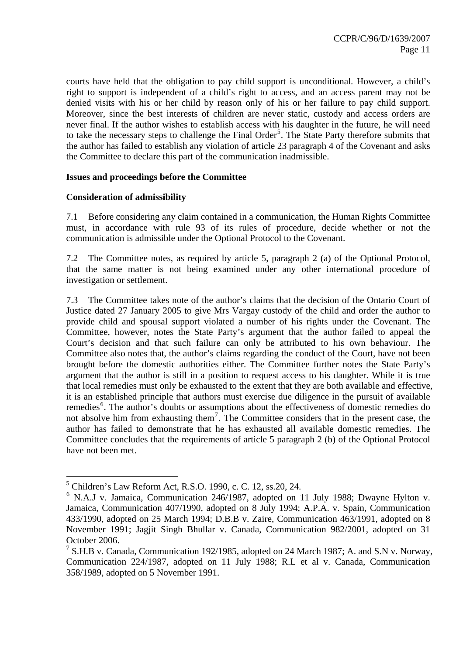courts have held that the obligation to pay child support is unconditional. However, a child's right to support is independent of a child's right to access, and an access parent may not be denied visits with his or her child by reason only of his or her failure to pay child support. Moreover, since the best interests of children are never static, custody and access orders are never final. If the author wishes to establish access with his daughter in the future, he will need to take the necessary steps to challenge the Final Order<sup>[5](#page-10-0)</sup>. The State Party therefore submits that the author has failed to establish any violation of article 23 paragraph 4 of the Covenant and asks the Committee to declare this part of the communication inadmissible.

# **Issues and proceedings before the Committee**

## **Consideration of admissibility**

 $\overline{a}$ 

7.1 Before considering any claim contained in a communication, the Human Rights Committee must, in accordance with rule 93 of its rules of procedure, decide whether or not the communication is admissible under the Optional Protocol to the Covenant.

7.2 The Committee notes, as required by article 5, paragraph 2 (a) of the Optional Protocol, that the same matter is not being examined under any other international procedure of investigation or settlement.

7.3 The Committee takes note of the author's claims that the decision of the Ontario Court of Justice dated 27 January 2005 to give Mrs Vargay custody of the child and order the author to provide child and spousal support violated a number of his rights under the Covenant. The Committee, however, notes the State Party's argument that the author failed to appeal the Court's decision and that such failure can only be attributed to his own behaviour. The Committee also notes that, the author's claims regarding the conduct of the Court, have not been brought before the domestic authorities either. The Committee further notes the State Party's argument that the author is still in a position to request access to his daughter. While it is true that local remedies must only be exhausted to the extent that they are both available and effective, it is an established principle that authors must exercise due diligence in the pursuit of available remedies<sup>[6](#page-10-1)</sup>. The author's doubts or assumptions about the effectiveness of domestic remedies do not absolve him from exhausting them<sup>[7](#page-10-2)</sup>. The Committee considers that in the present case, the author has failed to demonstrate that he has exhausted all available domestic remedies. The Committee concludes that the requirements of article 5 paragraph 2 (b) of the Optional Protocol have not been met.

<span id="page-10-0"></span><sup>5</sup> Children's Law Reform Act, R.S.O. 1990, c. C. 12, ss.20, 24.

<span id="page-10-1"></span> $6$  N.A.J v. Jamaica, Communication 246/1987, adopted on 11 July 1988; Dwayne Hylton v. Jamaica, Communication 407/1990, adopted on 8 July 1994; A.P.A. v. Spain, Communication 433/1990, adopted on 25 March 1994; D.B.B v. Zaire, Communication 463/1991, adopted on 8 November 1991; Jagjit Singh Bhullar v. Canada, Communication 982/2001, adopted on 31 October 2006.

<span id="page-10-2"></span><sup>&</sup>lt;sup>7</sup> S.H.B v. Canada, Communication 192/1985, adopted on 24 March 1987; A. and S.N v. Norway, Communication 224/1987, adopted on 11 July 1988; R.L et al v. Canada, Communication 358/1989, adopted on 5 November 1991.